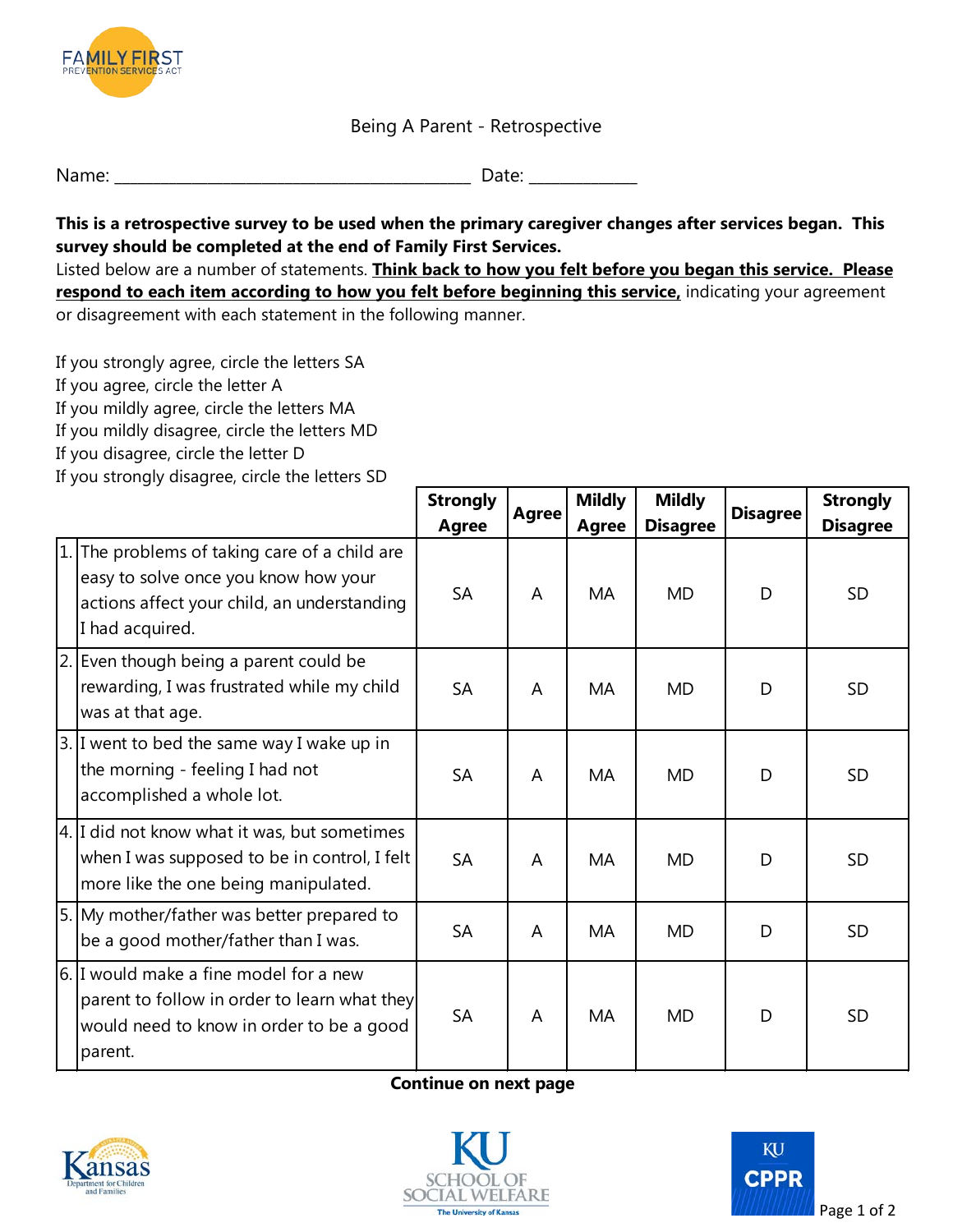

## Being A Parent - Retrospective

| Name:<br>_____ |
|----------------|
|----------------|

**This is a retrospective survey to be used when the primary caregiver changes after services began. This survey should be completed at the end of Family First Services.** 

Listed below are a number of statements. **Think back to how you felt before you began this service. Please respond to each item according to how you felt before beginning this service,** indicating your agreement or disagreement with each statement in the following manner.

 If you strongly disagree, circle the letters SD If you strongly agree, circle the letters SA If you agree, circle the letter A If you mildly agree, circle the letters MA If you mildly disagree, circle the letters MD If you disagree, circle the letter D

|    |                                                                                                                                                      | <b>Strongly</b><br>Agree | <b>Agree</b> | <b>Mildly</b> | <b>Mildly</b><br><b>Disagree</b> | <b>Disagree</b> | <b>Strongly</b> |
|----|------------------------------------------------------------------------------------------------------------------------------------------------------|--------------------------|--------------|---------------|----------------------------------|-----------------|-----------------|
|    |                                                                                                                                                      |                          |              | <b>Agree</b>  |                                  |                 | <b>Disagree</b> |
| 1. | The problems of taking care of a child are<br>easy to solve once you know how your<br>actions affect your child, an understanding<br>I had acquired. | <b>SA</b>                | A            | MA            | <b>MD</b>                        | D               | <b>SD</b>       |
|    | 2. Even though being a parent could be<br>rewarding, I was frustrated while my child<br>was at that age.                                             | <b>SA</b>                | A            | MA            | <b>MD</b>                        | D               | <b>SD</b>       |
|    | 3. I went to bed the same way I wake up in<br>the morning - feeling I had not<br>accomplished a whole lot.                                           | <b>SA</b>                | A            | MA            | MD                               | D               | SD              |
|    | 4. I did not know what it was, but sometimes<br>when I was supposed to be in control, I felt<br>more like the one being manipulated.                 | <b>SA</b>                | A            | <b>MA</b>     | <b>MD</b>                        | D               | <b>SD</b>       |
|    | 5. My mother/father was better prepared to<br>be a good mother/father than I was.                                                                    | <b>SA</b>                | A            | MA            | <b>MD</b>                        | D               | <b>SD</b>       |
|    | 6. I would make a fine model for a new<br>parent to follow in order to learn what they<br>would need to know in order to be a good<br>parent.        | <b>SA</b>                | A            | MA            | <b>MD</b>                        | D               | <b>SD</b>       |

## **Continue on next page**